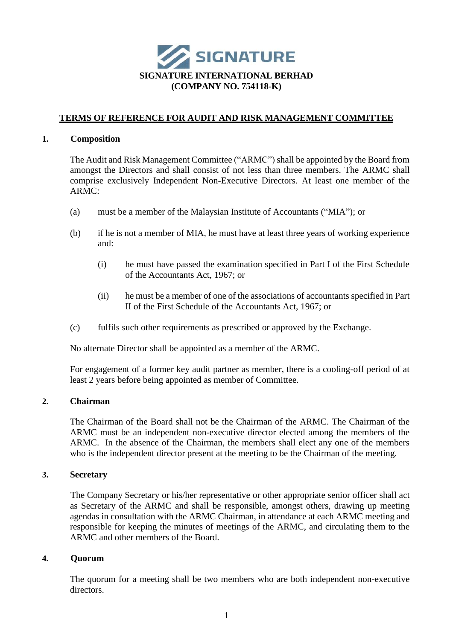

# **TERMS OF REFERENCE FOR AUDIT AND RISK MANAGEMENT COMMITTEE**

#### **1. Composition**

The Audit and Risk Management Committee ("ARMC") shall be appointed by the Board from amongst the Directors and shall consist of not less than three members. The ARMC shall comprise exclusively Independent Non-Executive Directors. At least one member of the  $ARMC$ 

- (a) must be a member of the Malaysian Institute of Accountants ("MIA"); or
- (b) if he is not a member of MIA, he must have at least three years of working experience and:
	- (i) he must have passed the examination specified in Part I of the First Schedule of the Accountants Act, 1967; or
	- (ii) he must be a member of one of the associations of accountants specified in Part II of the First Schedule of the Accountants Act, 1967; or
- (c) fulfils such other requirements as prescribed or approved by the Exchange.

No alternate Director shall be appointed as a member of the ARMC.

For engagement of a former key audit partner as member, there is a cooling-off period of at least 2 years before being appointed as member of Committee.

### **2. Chairman**

The Chairman of the Board shall not be the Chairman of the ARMC. The Chairman of the ARMC must be an independent non-executive director elected among the members of the ARMC. In the absence of the Chairman, the members shall elect any one of the members who is the independent director present at the meeting to be the Chairman of the meeting.

### **3. Secretary**

The Company Secretary or his/her representative or other appropriate senior officer shall act as Secretary of the ARMC and shall be responsible, amongst others, drawing up meeting agendas in consultation with the ARMC Chairman, in attendance at each ARMC meeting and responsible for keeping the minutes of meetings of the ARMC, and circulating them to the ARMC and other members of the Board.

### **4. Quorum**

The quorum for a meeting shall be two members who are both independent non-executive directors.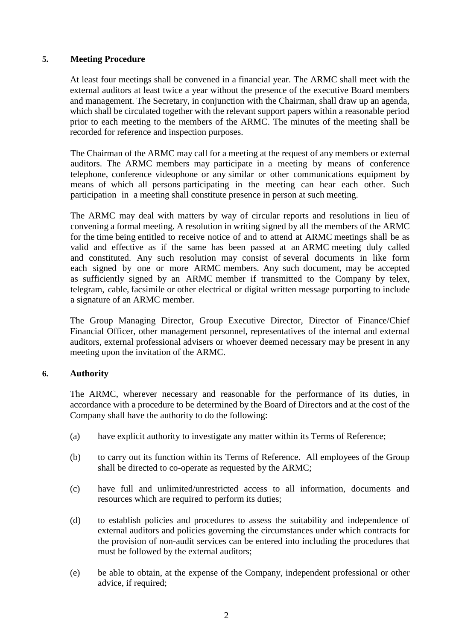### **5. Meeting Procedure**

At least four meetings shall be convened in a financial year. The ARMC shall meet with the external auditors at least twice a year without the presence of the executive Board members and management. The Secretary, in conjunction with the Chairman, shall draw up an agenda, which shall be circulated together with the relevant support papers within a reasonable period prior to each meeting to the members of the ARMC. The minutes of the meeting shall be recorded for reference and inspection purposes.

The Chairman of the ARMC may call for a meeting at the request of any members or external auditors. The ARMC members may participate in a meeting by means of conference telephone, conference videophone or any similar or other communications equipment by means of which all persons participating in the meeting can hear each other. Such participation in a meeting shall constitute presence in person at such meeting.

The ARMC may deal with matters by way of circular reports and resolutions in lieu of convening a formal meeting. A resolution in writing signed by all the members of the ARMC for the time being entitled to receive notice of and to attend at ARMC meetings shall be as valid and effective as if the same has been passed at an ARMC meeting duly called and constituted. Any such resolution may consist of several documents in like form each signed by one or more ARMC members. Any such document, may be accepted as sufficiently signed by an ARMC member if transmitted to the Company by telex, telegram, cable, facsimile or other electrical or digital written message purporting to include a signature of an ARMC member.

The Group Managing Director, Group Executive Director, Director of Finance/Chief Financial Officer, other management personnel, representatives of the internal and external auditors, external professional advisers or whoever deemed necessary may be present in any meeting upon the invitation of the ARMC.

### **6. Authority**

The ARMC, wherever necessary and reasonable for the performance of its duties, in accordance with a procedure to be determined by the Board of Directors and at the cost of the Company shall have the authority to do the following:

- (a) have explicit authority to investigate any matter within its Terms of Reference;
- (b) to carry out its function within its Terms of Reference. All employees of the Group shall be directed to co-operate as requested by the ARMC;
- (c) have full and unlimited/unrestricted access to all information, documents and resources which are required to perform its duties;
- (d) to establish policies and procedures to assess the suitability and independence of external auditors and policies governing the circumstances under which contracts for the provision of non-audit services can be entered into including the procedures that must be followed by the external auditors;
- (e) be able to obtain, at the expense of the Company, independent professional or other advice, if required;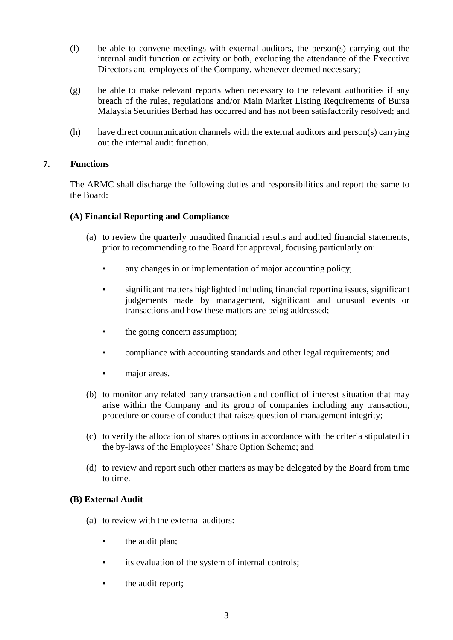- (f) be able to convene meetings with external auditors, the person(s) carrying out the internal audit function or activity or both, excluding the attendance of the Executive Directors and employees of the Company, whenever deemed necessary;
- (g) be able to make relevant reports when necessary to the relevant authorities if any breach of the rules, regulations and/or Main Market Listing Requirements of Bursa Malaysia Securities Berhad has occurred and has not been satisfactorily resolved; and
- (h) have direct communication channels with the external auditors and person(s) carrying out the internal audit function.

# **7. Functions**

The ARMC shall discharge the following duties and responsibilities and report the same to the Board:

# **(A) Financial Reporting and Compliance**

- (a) to review the quarterly unaudited financial results and audited financial statements, prior to recommending to the Board for approval, focusing particularly on:
	- any changes in or implementation of major accounting policy;
	- significant matters highlighted including financial reporting issues, significant judgements made by management, significant and unusual events or transactions and how these matters are being addressed;
	- the going concern assumption;
	- compliance with accounting standards and other legal requirements; and
	- major areas.
- (b) to monitor any related party transaction and conflict of interest situation that may arise within the Company and its group of companies including any transaction, procedure or course of conduct that raises question of management integrity;
- (c) to verify the allocation of shares options in accordance with the criteria stipulated in the by-laws of the Employees' Share Option Scheme; and
- (d) to review and report such other matters as may be delegated by the Board from time to time.

# **(B) External Audit**

- (a) to review with the external auditors:
	- the audit plan;
	- its evaluation of the system of internal controls;
	- the audit report;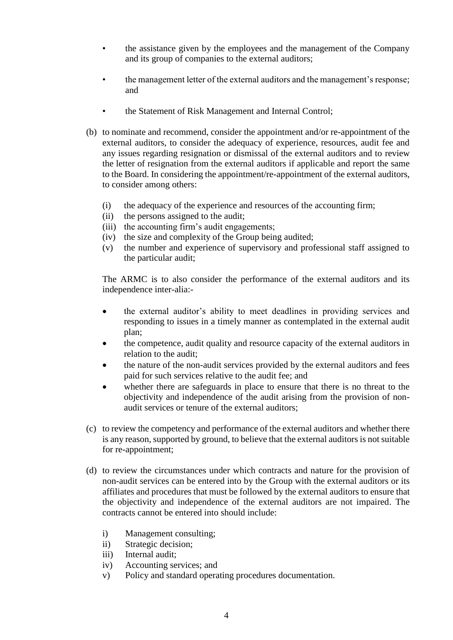- the assistance given by the employees and the management of the Company and its group of companies to the external auditors;
- the management letter of the external auditors and the management's response; and
- the Statement of Risk Management and Internal Control;
- (b) to nominate and recommend, consider the appointment and/or re-appointment of the external auditors, to consider the adequacy of experience, resources, audit fee and any issues regarding resignation or dismissal of the external auditors and to review the letter of resignation from the external auditors if applicable and report the same to the Board. In considering the appointment/re-appointment of the external auditors, to consider among others:
	- (i) the adequacy of the experience and resources of the accounting firm;
	- (ii) the persons assigned to the audit;
	- (iii) the accounting firm's audit engagements;
	- (iv) the size and complexity of the Group being audited;
	- (v) the number and experience of supervisory and professional staff assigned to the particular audit;

The ARMC is to also consider the performance of the external auditors and its independence inter-alia:-

- the external auditor's ability to meet deadlines in providing services and responding to issues in a timely manner as contemplated in the external audit plan;
- the competence, audit quality and resource capacity of the external auditors in relation to the audit;
- the nature of the non-audit services provided by the external auditors and fees paid for such services relative to the audit fee; and
- whether there are safeguards in place to ensure that there is no threat to the objectivity and independence of the audit arising from the provision of nonaudit services or tenure of the external auditors;
- (c) to review the competency and performance of the external auditors and whether there is any reason, supported by ground, to believe that the external auditors is not suitable for re-appointment;
- (d) to review the circumstances under which contracts and nature for the provision of non-audit services can be entered into by the Group with the external auditors or its affiliates and procedures that must be followed by the external auditors to ensure that the objectivity and independence of the external auditors are not impaired. The contracts cannot be entered into should include:
	- i) Management consulting;
	- ii) Strategic decision;
	- iii) Internal audit:
	- iv) Accounting services; and
	- v) Policy and standard operating procedures documentation.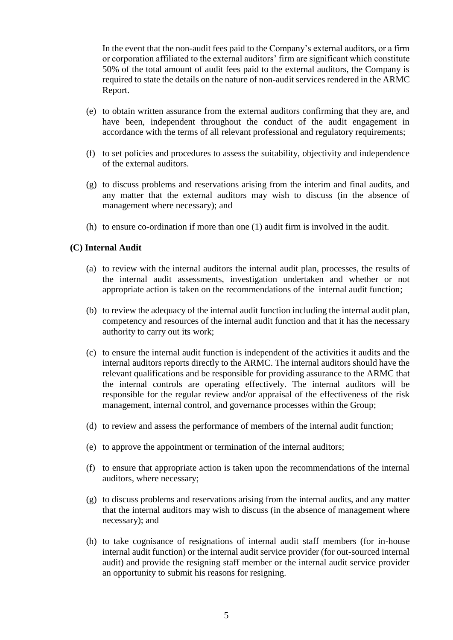In the event that the non-audit fees paid to the Company's external auditors, or a firm or corporation affiliated to the external auditors' firm are significant which constitute 50% of the total amount of audit fees paid to the external auditors, the Company is required to state the details on the nature of non-audit services rendered in the ARMC Report.

- (e) to obtain written assurance from the external auditors confirming that they are, and have been, independent throughout the conduct of the audit engagement in accordance with the terms of all relevant professional and regulatory requirements;
- (f) to set policies and procedures to assess the suitability, objectivity and independence of the external auditors.
- (g) to discuss problems and reservations arising from the interim and final audits, and any matter that the external auditors may wish to discuss (in the absence of management where necessary); and
- (h) to ensure co-ordination if more than one (1) audit firm is involved in the audit.

### **(C) Internal Audit**

- (a) to review with the internal auditors the internal audit plan, processes, the results of the internal audit assessments, investigation undertaken and whether or not appropriate action is taken on the recommendations of the internal audit function;
- (b) to review the adequacy of the internal audit function including the internal audit plan, competency and resources of the internal audit function and that it has the necessary authority to carry out its work;
- (c) to ensure the internal audit function is independent of the activities it audits and the internal auditors reports directly to the ARMC. The internal auditors should have the relevant qualifications and be responsible for providing assurance to the ARMC that the internal controls are operating effectively. The internal auditors will be responsible for the regular review and/or appraisal of the effectiveness of the risk management, internal control, and governance processes within the Group;
- (d) to review and assess the performance of members of the internal audit function;
- (e) to approve the appointment or termination of the internal auditors;
- (f) to ensure that appropriate action is taken upon the recommendations of the internal auditors, where necessary;
- (g) to discuss problems and reservations arising from the internal audits, and any matter that the internal auditors may wish to discuss (in the absence of management where necessary); and
- (h) to take cognisance of resignations of internal audit staff members (for in-house internal audit function) or the internal audit service provider (for out-sourced internal audit) and provide the resigning staff member or the internal audit service provider an opportunity to submit his reasons for resigning.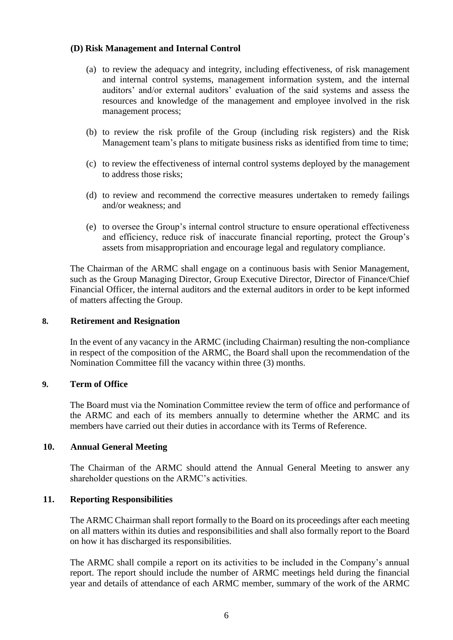### **(D) Risk Management and Internal Control**

- (a) to review the adequacy and integrity, including effectiveness, of risk management and internal control systems, management information system, and the internal auditors' and/or external auditors' evaluation of the said systems and assess the resources and knowledge of the management and employee involved in the risk management process;
- (b) to review the risk profile of the Group (including risk registers) and the Risk Management team's plans to mitigate business risks as identified from time to time;
- (c) to review the effectiveness of internal control systems deployed by the management to address those risks;
- (d) to review and recommend the corrective measures undertaken to remedy failings and/or weakness; and
- (e) to oversee the Group's internal control structure to ensure operational effectiveness and efficiency, reduce risk of inaccurate financial reporting, protect the Group's assets from misappropriation and encourage legal and regulatory compliance.

The Chairman of the ARMC shall engage on a continuous basis with Senior Management, such as the Group Managing Director, Group Executive Director, Director of Finance/Chief Financial Officer, the internal auditors and the external auditors in order to be kept informed of matters affecting the Group.

### **8. Retirement and Resignation**

In the event of any vacancy in the ARMC (including Chairman) resulting the non-compliance in respect of the composition of the ARMC, the Board shall upon the recommendation of the Nomination Committee fill the vacancy within three (3) months.

### **9. Term of Office**

The Board must via the Nomination Committee review the term of office and performance of the ARMC and each of its members annually to determine whether the ARMC and its members have carried out their duties in accordance with its Terms of Reference.

### **10. Annual General Meeting**

The Chairman of the ARMC should attend the Annual General Meeting to answer any shareholder questions on the ARMC's activities.

### **11. Reporting Responsibilities**

The ARMC Chairman shall report formally to the Board on its proceedings after each meeting on all matters within its duties and responsibilities and shall also formally report to the Board on how it has discharged its responsibilities.

The ARMC shall compile a report on its activities to be included in the Company's annual report. The report should include the number of ARMC meetings held during the financial year and details of attendance of each ARMC member, summary of the work of the ARMC